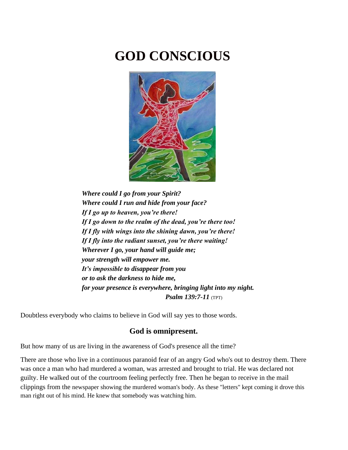# **GOD CONSCIOUS**



*Where could I go from your Spirit? Where could I run and hide from your face? If I go up to heaven, you're there! If I go down to the realm of the dead, you're there too! If I fly with wings into the shining dawn, you're there! If I fly into the radiant sunset, you're there waiting! Wherever I go, your hand will guide me; your strength will empower me. It's impossible to disappear from you or to ask the darkness to hide me, for your presence is everywhere, bringing light into my night. Psalm 139:7-11* (TPT)

Doubtless everybody who claims to believe in God will say yes to those words.

# **God is omnipresent.**

But how many of us are living in the awareness of God's presence all the time?

There are those who live in a continuous paranoid fear of an angry God who's out to destroy them. There was once a man who had murdered a woman, was arrested and brought to trial. He was declared not guilty. He walked out of the courtroom feeling perfectly free. Then he began to receive in the mail clippings from the newspaper showing the murdered woman's body. As these "letters" kept coming it drove this man right out of his mind. He knew that somebody was watching him.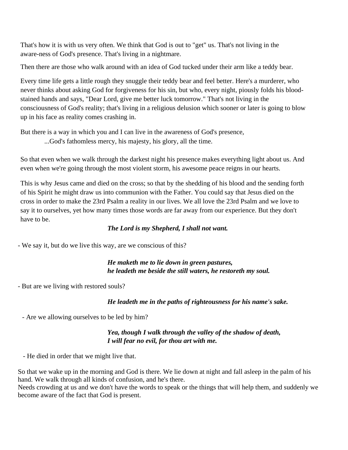That's how it is with us very often. We think that God is out to "get" us. That's not living in the aware-ness of God's presence. That's living in a nightmare.

Then there are those who walk around with an idea of God tucked under their arm like a teddy bear.

Every time life gets a little rough they snuggle their teddy bear and feel better. Here's a murderer, who never thinks about asking God for forgiveness for his sin, but who, every night, piously folds his bloodstained hands and says, "Dear Lord, give me better luck tomorrow." That's not living in the consciousness of God's reality; that's living in a religious delusion which sooner or later is going to blow up in his face as reality comes crashing in.

But there is a way in which you and I can live in the awareness of God's presence, ...God's fathomless mercy, his majesty, his glory, all the time.

So that even when we walk through the darkest night his presence makes everything light about us. And even when we're going through the most violent storm, his awesome peace reigns in our hearts.

This is why Jesus came and died on the cross; so that by the shedding of his blood and the sending forth of his Spirit he might draw us into communion with the Father. You could say that Jesus died on the cross in order to make the 23rd Psalm a reality in our lives. We all love the 23rd Psalm and we love to say it to ourselves, yet how many times those words are far away from our experience. But they don't have to be.

#### *The Lord is my Shepherd, I shall not want.*

- We say it, but do we live this way, are we conscious of this?

## *He maketh me to lie down in green pastures, he leadeth me beside the still waters, he restoreth my soul.*

- But are we living with restored souls?

#### *He leadeth me in the paths of righteousness for his name's sake.*

- Are we allowing ourselves to be led by him?

#### *Yea, though I walk through the valley of the shadow of death, I will fear no evil, for thou art with me.*

- He died in order that we might live that.

So that we wake up in the morning and God is there. We lie down at night and fall asleep in the palm of his hand. We walk through all kinds of confusion, and he's there.

Needs crowding at us and we don't have the words to speak or the things that will help them, and suddenly we become aware of the fact that God is present.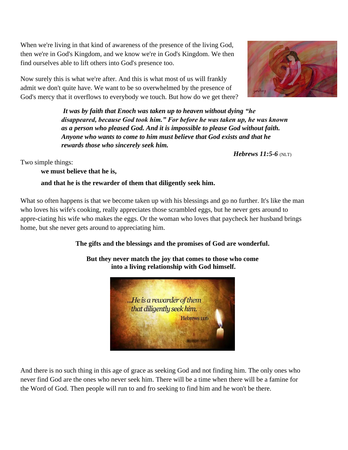When we're living in that kind of awareness of the presence of the living God, then we're in God's Kingdom, and we know we're in God's Kingdom. We then find ourselves able to lift others into God's presence too.

Now surely this is what we're after. And this is what most of us will frankly admit we don't quite have. We want to be so overwhelmed by the presence of God's mercy that it overflows to everybody we touch. But how do we get there?

> *It was by faith that Enoch was taken up to heaven without dying "he disappeared, because God took him." For before he was taken up, he was known as a person who pleased God. And it is impossible to please God without faith. Anyone who wants to come to him must believe that God exists and that he rewards those who sincerely seek him.*

> > *Hebrews 11:5-6* (NLT)

Two simple things:

**we must believe that he is,** 

## **and that he is the rewarder of them that diligently seek him.**

What so often happens is that we become taken up with his blessings and go no further. It's like the man who loves his wife's cooking, really appreciates those scrambled eggs, but he never gets around to appre-ciating his wife who makes the eggs. Or the woman who loves that paycheck her husband brings home, but she never gets around to appreciating him.

# **The gifts and the blessings and the promises of God are wonderful.**

**But they never match the joy that comes to those who come into a living relationship with God himself.**

Hebrews 11:6



...He is a rewarder of them that diligently seek him.

And there is no such thing in this age of grace as seeking God and not finding him. The only ones who never find God are the ones who never seek him. There will be a time when there will be a famine for the Word of God. Then people will run to and fro seeking to find him and he won't be there.

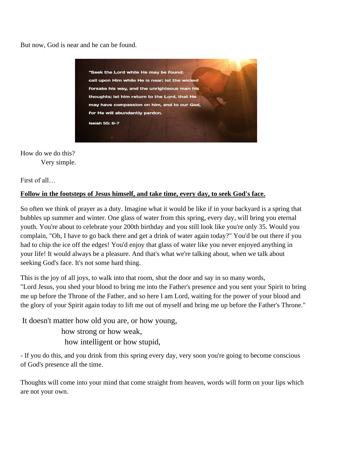But now, God is near and he can be found.



How do we do this? Very simple.

First of all…

#### **Follow in the footsteps of Jesus himself, and take time, every day, to seek God's face.**

So often we think of prayer as a duty. Imagine what it would be like if in your backyard is a spring that bubbles up summer and winter. One glass of water from this spring, every day, will bring you eternal youth. You're about to celebrate your 200th birthday and you still look like you're only 35. Would you complain, "Oh, I have to go back there and get a drink of water again today?" You'd be out there if you had to chip the ice off the edges! You'd enjoy that glass of water like you never enjoyed anything in your life! It would always be a pleasure. And that's what we're talking about, when we talk about seeking God's face. It's not some hard thing.

This is the joy of all joys, to walk into that room, shut the door and say in so many words, "Lord Jesus, you shed your blood to bring me into the Father's presence and you sent your Spirit to bring me up before the Throne of the Father, and so here I am Lord, waiting for the power of your blood and the glory of your Spirit again today to lift me out of myself and bring me up before the Father's Throne."

It doesn't matter how old you are, or how young, how strong or how weak, how intelligent or how stupid,

- If you do this, and you drink from this spring every day, very soon you're going to become conscious of God's presence all the time.

Thoughts will come into your mind that come straight from heaven, words will form on your lips which are not your own.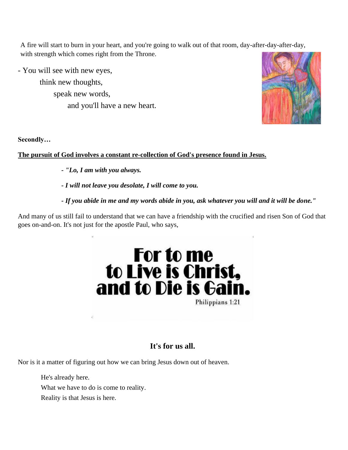A fire will start to burn in your heart, and you're going to walk out of that room, day-after-day-after-day, with strength which comes right from the Throne.

- You will see with new eyes,

 think new thoughts, speak new words, and you'll have a new heart.



**Secondly…**

## **The pursuit of God involves a constant re-collection of God's presence found in Jesus.**

- *- "Lo, I am with you always.*
- *- I will not leave you desolate, I will come to you.*
- *- If you abide in me and my words abide in you, ask whatever you will and it will be done."*

And many of us still fail to understand that we can have a friendship with the crucified and risen Son of God that goes on-and-on. It's not just for the apostle Paul, who says,



# **It's for us all.**

Nor is it a matter of figuring out how we can bring Jesus down out of heaven.

He's already here. What we have to do is come to reality.

Reality is that Jesus is here.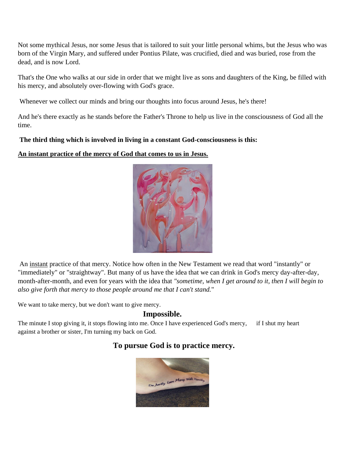Not some mythical Jesus, nor some Jesus that is tailored to suit your little personal whims, but the Jesus who was born of the Virgin Mary, and suffered under Pontius Pilate, was crucified, died and was buried, rose from the dead, and is now Lord.

That's the One who walks at our side in order that we might live as sons and daughters of the King, be filled with his mercy, and absolutely over-flowing with God's grace.

Whenever we collect our minds and bring our thoughts into focus around Jesus, he's there!

And he's there exactly as he stands before the Father's Throne to help us live in the consciousness of God all the time.

#### **The third thing which is involved in living in a constant God-consciousness is this:**

**An instant practice of the mercy of God that comes to us in Jesus.**



An instant practice of that mercy. Notice how often in the New Testament we read that word "instantly" or "immediately" or "straightway". But many of us have the idea that we can drink in God's mercy day-after-day, month-after-month, and even for years with the idea that *"sometime, when I get around to it, then I will begin to also give forth that mercy to those people around me that I can't stand.*"

We want to take mercy, but we don't want to give mercy.

# **Impossible.**

The minute I stop giving it, it stops flowing into me. Once I have experienced God's mercy, if I shut my heart against a brother or sister, I'm turning my back on God.

# **To pursue God is to practice mercy.**

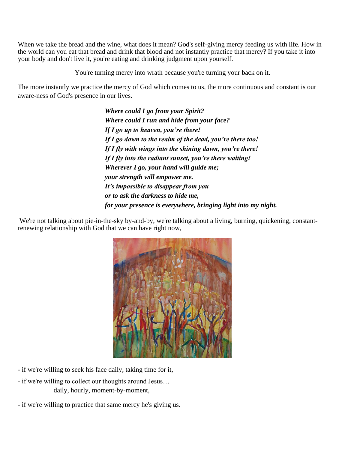When we take the bread and the wine, what does it mean? God's self-giving mercy feeding us with life. How in the world can you eat that bread and drink that blood and not instantly practice that mercy? If you take it into your body and don't live it, you're eating and drinking judgment upon yourself.

You're turning mercy into wrath because you're turning your back on it.

The more instantly we practice the mercy of God which comes to us, the more continuous and constant is our aware-ness of God's presence in our lives.

> *Where could I go from your Spirit? Where could I run and hide from your face? If I go up to heaven, you're there! If I go down to the realm of the dead, you're there too! If I fly with wings into the shining dawn, you're there! If I fly into the radiant sunset, you're there waiting! Wherever I go, your hand will guide me; your strength will empower me. It's impossible to disappear from you or to ask the darkness to hide me, for your presence is everywhere, bringing light into my night.*

We're not talking about pie-in-the-sky by-and-by, we're talking about a living, burning, quickening, constantrenewing relationship with God that we can have right now,



- if we're willing to seek his face daily, taking time for it,
- if we're willing to collect our thoughts around Jesus… daily, hourly, moment-by-moment,
- if we're willing to practice that same mercy he's giving us.